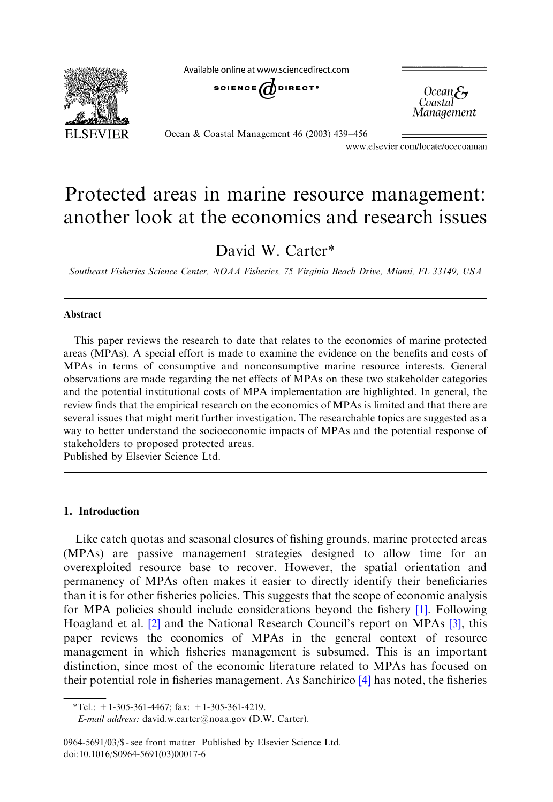**ELSEVIER** 

Available online at www.sciencedirect.com



Ocean  $\mathcal{E}_{\tau}$ Coastal Management

Ocean & Coastal Management 46 (2003) 439–456

www.elsevier.com/locate/ocecoaman

# Protected areas in marine resource management: another lookat the economics and research issues

# David W. Carter\*

Southeast Fisheries Science Center, NOAA Fisheries, 75 Virginia Beach Drive, Miami, FL 33149, USA

#### Abstract

This paper reviews the research to date that relates to the economics of marine protected areas (MPAs). A special effort is made to examine the evidence on the benefits and costs of MPAs in terms of consumptive and nonconsumptive marine resource interests. General observations are made regarding the net effects of MPAs on these two stakeholder categories and the potential institutional costs of MPA implementation are highlighted. In general, the review finds that the empirical research on the economics of MPAs is limited and that there are several issues that might merit further investigation. The researchable topics are suggested as a way to better understand the socioeconomic impacts of MPAs and the potential response of stakeholders to proposed protected areas.

Published by Elsevier Science Ltd.

### 1. Introduction

Like catch quotas and seasonal closures of fishing grounds, marine protected areas (MPAs) are passive management strategies designed to allow time for an overexploited resource base to recover. However, the spatial orientation and permanency of MPAs often makes it easier to directly identify their beneficiaries than it is for other fisheries policies. This suggests that the scope of economic analysis for MPA policies should include considerations beyond the fishery [\[1\]](#page-14-0). Following Hoagland et al. [\[2\]](#page-14-0) and the National Research Council's report on MPAs [\[3\],](#page-14-0) this paper reviews the economics of MPAs in the general context of resource management in which fisheries management is subsumed. This is an important distinction, since most of the economic literature related to MPAs has focused on their potential role in fisheries management. As Sanchirico [\[4\]](#page-14-0) has noted, the fisheries

<sup>\*</sup>Tel.:  $+1-305-361-4467$ ; fax:  $+1-305-361-4219$ .

E-mail address: david.w.carter@noaa.gov (D.W. Carter).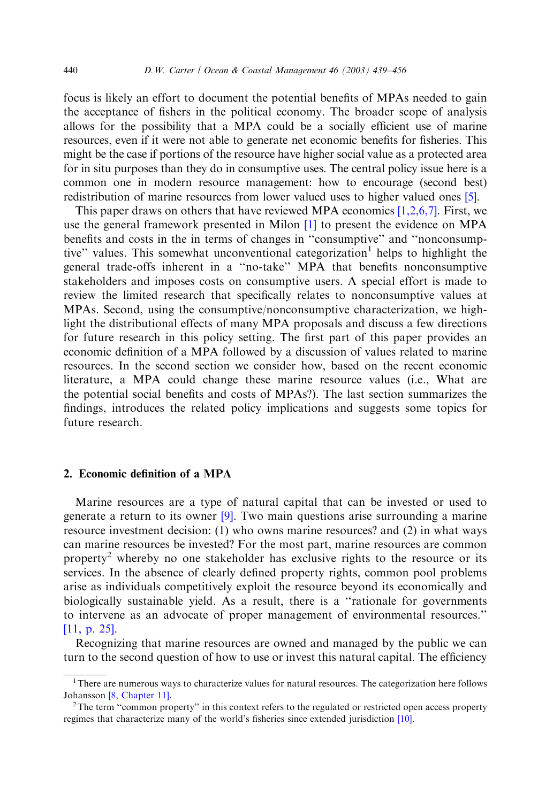focus is likely an effort to document the potential benefits of MPAs needed to gain the acceptance of fishers in the political economy. The broader scope of analysis allows for the possibility that a MPA could be a socially efficient use of marine resources, even if it were not able to generate net economic benefits for fisheries. This might be the case if portions of the resource have higher social value as a protected area for in situ purposes than they do in consumptive uses. The central policy issue here is a common one in modern resource management: how to encourage (second best) redistribution of marine resources from lower valued uses to higher valued ones [\[5\].](#page-15-0)

This paper draws on others that have reviewed MPA economics  $[1,2,6,7]$ . First, we use the general framework presented in Milon  $[1]$  to present the evidence on MPA benefits and costs in the in terms of changes in ''consumptive'' and ''nonconsumptive" values. This somewhat unconventional categorization<sup>1</sup> helps to highlight the general trade-offs inherent in a ''no-take'' MPA that benefits nonconsumptive stakeholders and imposes costs on consumptive users. A special effort is made to review the limited research that specifically relates to nonconsumptive values at MPAs. Second, using the consumptive/nonconsumptive characterization, we highlight the distributional effects of many MPA proposals and discuss a few directions for future research in this policy setting. The first part of this paper provides an economic definition of a MPA followed by a discussion of values related to marine resources. In the second section we consider how, based on the recent economic literature, a MPA could change these marine resource values (i.e., What are the potential social benefits and costs of MPAs?). The last section summarizes the findings, introduces the related policy implications and suggests some topics for future research.

### 2. Economic definition of a MPA

Marine resources are a type of natural capital that can be invested or used to generate a return to its owner [\[9\].](#page-15-0) Two main questions arise surrounding a marine resource investment decision: (1) who owns marine resources? and (2) in what ways can marine resources be invested? For the most part, marine resources are common property<sup>2</sup> whereby no one stakeholder has exclusive rights to the resource or its services. In the absence of clearly defined property rights, common pool problems arise as individuals competitively exploit the resource beyond its economically and biologically sustainable yield. As a result, there is a ''rationale for governments to intervene as an advocate of proper management of environmental resources.'' [\[11, p. 25\].](#page-15-0)

Recognizing that marine resources are owned and managed by the public we can turn to the second question of how to use or invest this natural capital. The efficiency

<sup>&</sup>lt;sup>1</sup>There are numerous ways to characterize values for natural resources. The categorization here follows Johansson [\[8, Chapter 11\]](#page-15-0).

<sup>&</sup>lt;sup>2</sup>The term "common property" in this context refers to the regulated or restricted open access property regimes that characterize many of the world's fisheries since extended jurisdiction [\[10\].](#page-15-0)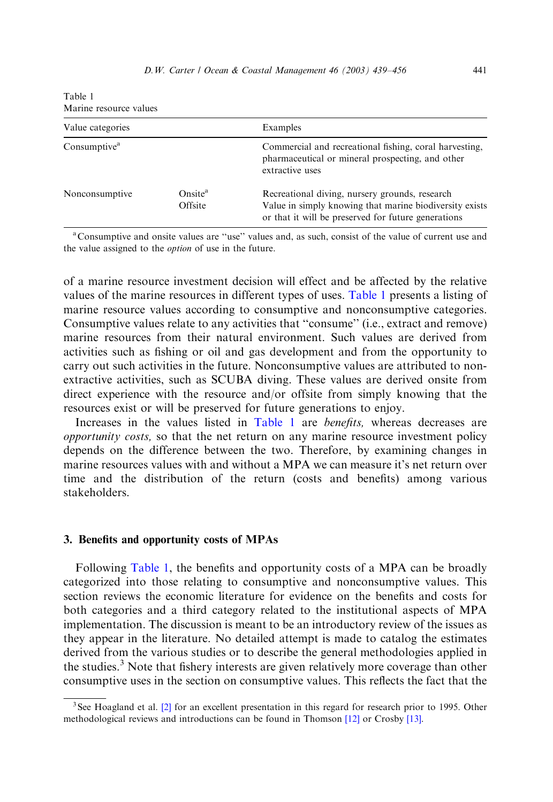| Marine resource values   |                                |                                                                                                                                                                  |  |  |
|--------------------------|--------------------------------|------------------------------------------------------------------------------------------------------------------------------------------------------------------|--|--|
| Value categories         |                                | Examples                                                                                                                                                         |  |  |
| Consumptive <sup>a</sup> |                                | Commercial and recreational fishing, coral harvesting,<br>pharmaceutical or mineral prospecting, and other<br>extractive uses                                    |  |  |
| Nonconsumptive           | Onsite <sup>a</sup><br>Offsite | Recreational diving, nursery grounds, research<br>Value in simply knowing that marine biodiversity exists<br>or that it will be preserved for future generations |  |  |

<span id="page-2-0"></span>Table 1 Marine resource values

<sup>a</sup> Consumptive and onsite values are "use" values and, as such, consist of the value of current use and the value assigned to the option of use in the future.

of a marine resource investment decision will effect and be affected by the relative values of the marine resources in different types of uses. Table 1 presents a listing of marine resource values according to consumptive and nonconsumptive categories. Consumptive values relate to any activities that ''consume'' (i.e., extract and remove) marine resources from their natural environment. Such values are derived from activities such as fishing or oil and gas development and from the opportunity to carry out such activities in the future. Nonconsumptive values are attributed to nonextractive activities, such as SCUBA diving. These values are derived onsite from direct experience with the resource and/or offsite from simply knowing that the resources exist or will be preserved for future generations to enjoy.

Increases in the values listed in Table 1 are benefits, whereas decreases are opportunity costs, so that the net return on any marine resource investment policy depends on the difference between the two. Therefore, by examining changes in marine resources values with and without a MPA we can measure it's net return over time and the distribution of the return (costs and benefits) among various stakeholders.

#### 3. Benefits and opportunity costs of MPAs

Following Table 1, the benefits and opportunity costs of a MPA can be broadly categorized into those relating to consumptive and nonconsumptive values. This section reviews the economic literature for evidence on the benefits and costs for both categories and a third category related to the institutional aspects of MPA implementation. The discussion is meant to be an introductory review of the issues as they appear in the literature. No detailed attempt is made to catalog the estimates derived from the various studies or to describe the general methodologies applied in the studies.<sup>3</sup> Note that fishery interests are given relatively more coverage than other consumptive uses in the section on consumptive values. This reflects the fact that the

<sup>&</sup>lt;sup>3</sup>See Hoagland et al. [\[2\]](#page-14-0) for an excellent presentation in this regard for research prior to 1995. Other methodological reviews and introductions can be found in Thomson [\[12\]](#page-15-0) or Crosby [\[13\].](#page-15-0)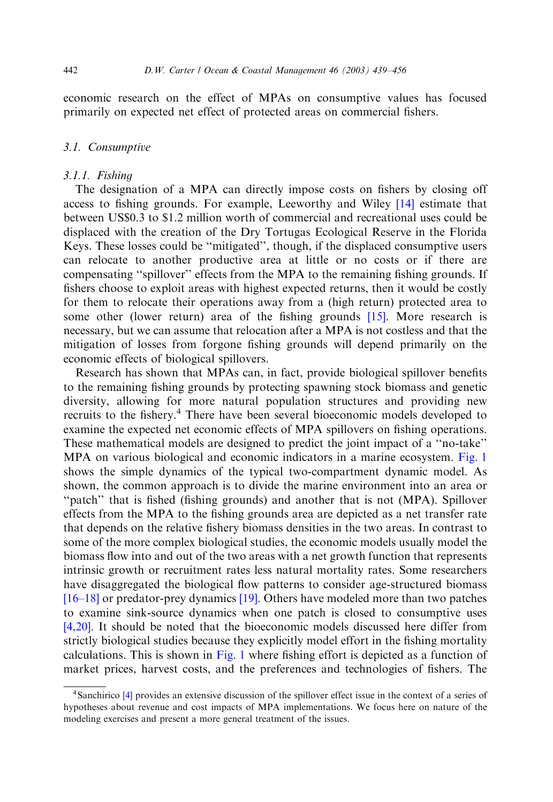economic research on the effect of MPAs on consumptive values has focused primarily on expected net effect of protected areas on commercial fishers.

# 3.1. Consumptive

#### 3.1.1. Fishing

The designation of a MPA can directly impose costs on fishers by closing off access to fishing grounds. For example, Leeworthy and Wiley [\[14\]](#page-15-0) estimate that between US\$0.3 to \$1.2 million worth of commercial and recreational uses could be displaced with the creation of the Dry Tortugas Ecological Reserve in the Florida Keys. These losses could be ''mitigated'', though, if the displaced consumptive users can relocate to another productive area at little or no costs or if there are compensating ''spillover'' effects from the MPA to the remaining fishing grounds. If fishers choose to exploit areas with highest expected returns, then it would be costly for them to relocate their operations away from a (high return) protected area to some other (lower return) area of the fishing grounds [\[15\].](#page-15-0) More research is necessary, but we can assume that relocation after a MPA is not costless and that the mitigation of losses from forgone fishing grounds will depend primarily on the economic effects of biological spillovers.

Research has shown that MPAs can, in fact, provide biological spillover benefits to the remaining fishing grounds by protecting spawning stock biomass and genetic diversity, allowing for more natural population structures and providing new recruits to the fishery.<sup>4</sup> There have been several bioeconomic models developed to examine the expected net economic effects of MPA spillovers on fishing operations. These mathematical models are designed to predict the joint impact of a ''no-take'' MPA on various biological and economic indicators in a marine ecosystem. [Fig. 1](#page-4-0) shows the simple dynamics of the typical two-compartment dynamic model. As shown, the common approach is to divide the marine environment into an area or ''patch'' that is fished (fishing grounds) and another that is not (MPA). Spillover effects from the MPA to the fishing grounds area are depicted as a net transfer rate that depends on the relative fishery biomass densities in the two areas. In contrast to some of the more complex biological studies, the economic models usually model the biomass flow into and out of the two areas with a net growth function that represents intrinsic growth or recruitment rates less natural mortality rates. Some researchers have disaggregated the biological flow patterns to consider age-structured biomass [\[16–18\]](#page-15-0) or predator-prey dynamics [\[19\]](#page-15-0). Others have modeled more than two patches to examine sink-source dynamics when one patch is closed to consumptive uses [\[4,20\].](#page-14-0) It should be noted that the bioeconomic models discussed here differ from strictly biological studies because they explicitly model effort in the fishing mortality calculations. This is shown in [Fig. 1](#page-4-0) where fishing effort is depicted as a function of market prices, harvest costs, and the preferences and technologies of fishers. The

<sup>&</sup>lt;sup>4</sup> Sanchirico [\[4\]](#page-14-0) provides an extensive discussion of the spillover effect issue in the context of a series of hypotheses about revenue and cost impacts of MPA implementations. We focus here on nature of the modeling exercises and present a more general treatment of the issues.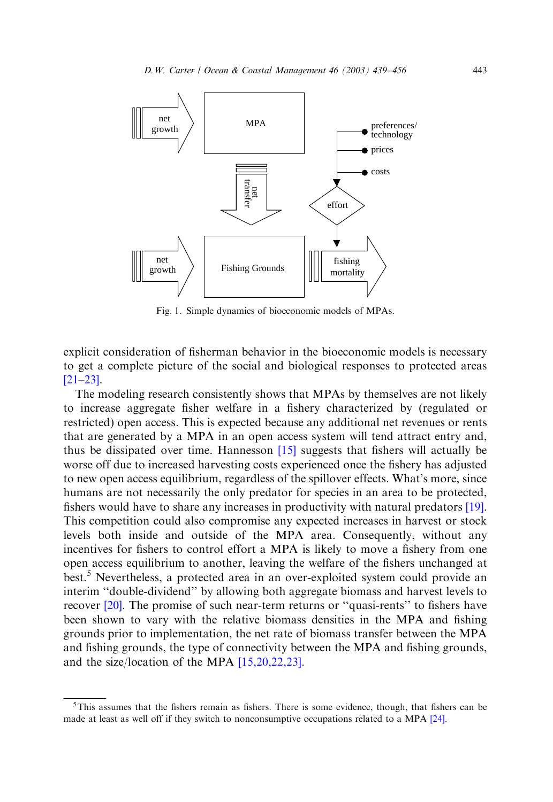<span id="page-4-0"></span>

Fig. 1. Simple dynamics of bioeconomic models of MPAs.

explicit consideration of fisherman behavior in the bioeconomic models is necessary to get a complete picture of the social and biological responses to protected areas [\[21–23\]](#page-15-0).

The modeling research consistently shows that MPAs by themselves are not likely to increase aggregate fisher welfare in a fishery characterized by (regulated or restricted) open access. This is expected because any additional net revenues or rents that are generated by a MPA in an open access system will tend attract entry and, thus be dissipated over time. Hannesson [\[15\]](#page-15-0) suggests that fishers will actually be worse off due to increased harvesting costs experienced once the fishery has adjusted to new open access equilibrium, regardless of the spillover effects. What's more, since humans are not necessarily the only predator for species in an area to be protected, fishers would have to share any increases in productivity with natural predators [\[19\].](#page-15-0) This competition could also compromise any expected increases in harvest or stock levels both inside and outside of the MPA area. Consequently, without any incentives for fishers to control effort a MPA is likely to move a fishery from one open access equilibrium to another, leaving the welfare of the fishers unchanged at best.<sup>5</sup> Nevertheless, a protected area in an over-exploited system could provide an interim ''double-dividend'' by allowing both aggregate biomass and harvest levels to recover [\[20\]](#page-15-0). The promise of such near-term returns or ''quasi-rents'' to fishers have been shown to vary with the relative biomass densities in the MPA and fishing grounds prior to implementation, the net rate of biomass transfer between the MPA and fishing grounds, the type of connectivity between the MPA and fishing grounds, and the size/location of the MPA [\[15,20,22,23\]](#page-15-0).

<sup>&</sup>lt;sup>5</sup>This assumes that the fishers remain as fishers. There is some evidence, though, that fishers can be made at least as well off if they switch to nonconsumptive occupations related to a MPA [\[24\].](#page-15-0)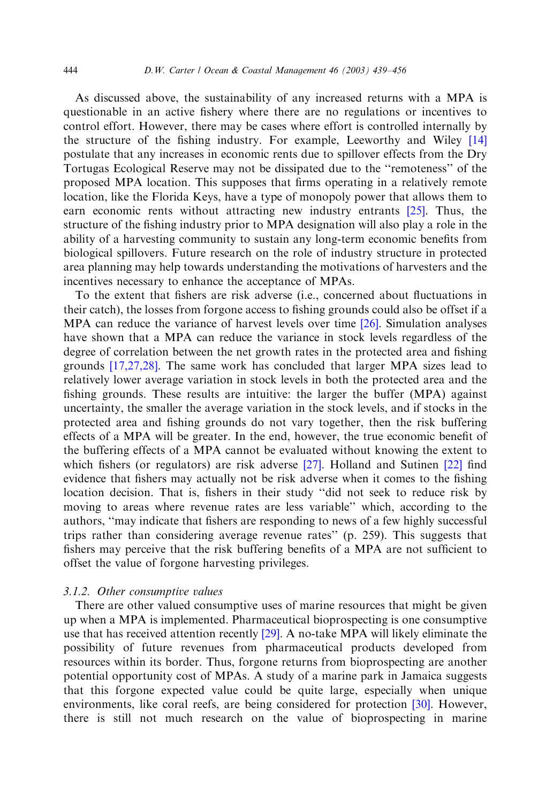As discussed above, the sustainability of any increased returns with a MPA is questionable in an active fishery where there are no regulations or incentives to control effort. However, there may be cases where effort is controlled internally by the structure of the fishing industry. For example, Leeworthy and Wiley [\[14\]](#page-15-0) postulate that any increases in economic rents due to spillover effects from the Dry Tortugas Ecological Reserve may not be dissipated due to the ''remoteness'' of the proposed MPA location. This supposes that firms operating in a relatively remote location, like the Florida Keys, have a type of monopoly power that allows them to earn economic rents without attracting new industry entrants [\[25\].](#page-15-0) Thus, the structure of the fishing industry prior to MPA designation will also play a role in the ability of a harvesting community to sustain any long-term economic benefits from biological spillovers. Future research on the role of industry structure in protected area planning may help towards understanding the motivations of harvesters and the incentives necessary to enhance the acceptance of MPAs.

To the extent that fishers are riskadverse (i.e., concerned about fluctuations in their catch), the losses from forgone access to fishing grounds could also be offset if a MPA can reduce the variance of harvest levels over time [\[26\].](#page-15-0) Simulation analyses have shown that a MPA can reduce the variance in stock levels regardless of the degree of correlation between the net growth rates in the protected area and fishing grounds [\[17,27,28\].](#page-15-0) The same workhas concluded that larger MPA sizes lead to relatively lower average variation in stock levels in both the protected area and the fishing grounds. These results are intuitive: the larger the buffer (MPA) against uncertainty, the smaller the average variation in the stocklevels, and if stocks in the protected area and fishing grounds do not vary together, then the risk buffering effects of a MPA will be greater. In the end, however, the true economic benefit of the buffering effects of a MPA cannot be evaluated without knowing the extent to which fishers (or regulators) are risk adverse  $[27]$ . Holland and Sutinen  $[22]$  find evidence that fishers may actually not be riskadverse when it comes to the fishing location decision. That is, fishers in their study "did not seek to reduce risk by moving to areas where revenue rates are less variable'' which, according to the authors, ''may indicate that fishers are responding to news of a few highly successful trips rather than considering average revenue rates'' (p. 259). This suggests that fishers may perceive that the risk buffering benefits of a MPA are not sufficient to offset the value of forgone harvesting privileges.

#### 3.1.2. Other consumptive values

There are other valued consumptive uses of marine resources that might be given up when a MPA is implemented. Pharmaceutical bioprospecting is one consumptive use that has received attention recently [\[29\].](#page-15-0) A no-take MPA will likely eliminate the possibility of future revenues from pharmaceutical products developed from resources within its border. Thus, forgone returns from bioprospecting are another potential opportunity cost of MPAs. A study of a marine parkin Jamaica suggests that this forgone expected value could be quite large, especially when unique environments, like coral reefs, are being considered for protection [\[30\]](#page-16-0). However, there is still not much research on the value of bioprospecting in marine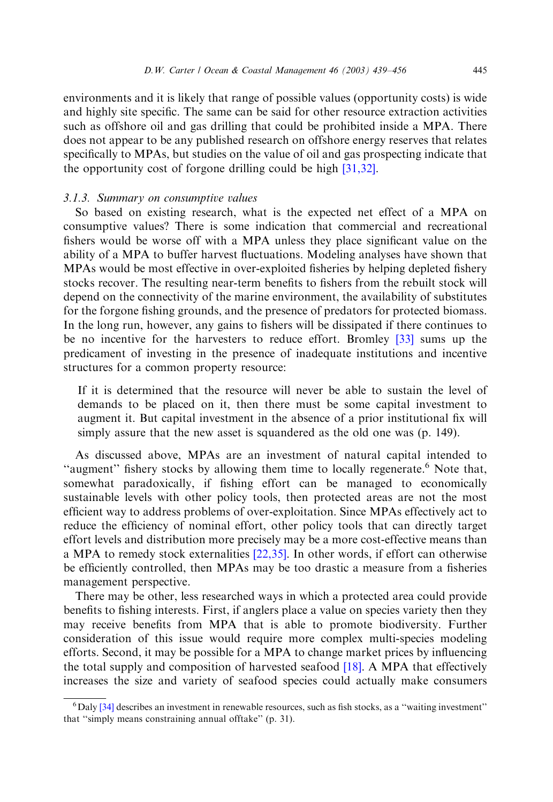environments and it is likely that range of possible values (opportunity costs) is wide and highly site specific. The same can be said for other resource extraction activities such as offshore oil and gas drilling that could be prohibited inside a MPA. There does not appear to be any published research on offshore energy reserves that relates specifically to MPAs, but studies on the value of oil and gas prospecting indicate that the opportunity cost of forgone drilling could be high [\[31,32\]](#page-16-0).

### 3.1.3. Summary on consumptive values

So based on existing research, what is the expected net effect of a MPA on consumptive values? There is some indication that commercial and recreational fishers would be worse off with a MPA unless they place significant value on the ability of a MPA to buffer harvest fluctuations. Modeling analyses have shown that MPAs would be most effective in over-exploited fisheries by helping depleted fishery stocks recover. The resulting near-term benefits to fishers from the rebuilt stock will depend on the connectivity of the marine environment, the availability of substitutes for the forgone fishing grounds, and the presence of predators for protected biomass. In the long run, however, any gains to fishers will be dissipated if there continues to be no incentive for the harvesters to reduce effort. Bromley [\[33\]](#page-16-0) sums up the predicament of investing in the presence of inadequate institutions and incentive structures for a common property resource:

If it is determined that the resource will never be able to sustain the level of demands to be placed on it, then there must be some capital investment to augment it. But capital investment in the absence of a prior institutional fix will simply assure that the new asset is squandered as the old one was (p. 149).

As discussed above, MPAs are an investment of natural capital intended to ''augment'' fishery stocks by allowing them time to locally regenerate.<sup>6</sup> Note that, somewhat paradoxically, if fishing effort can be managed to economically sustainable levels with other policy tools, then protected areas are not the most efficient way to address problems of over-exploitation. Since MPAs effectively act to reduce the efficiency of nominal effort, other policy tools that can directly target effort levels and distribution more precisely may be a more cost-effective means than a MPA to remedy stock externalities  $[22,35]$ . In other words, if effort can otherwise be efficiently controlled, then MPAs may be too drastic a measure from a fisheries management perspective.

There may be other, less researched ways in which a protected area could provide benefits to fishing interests. First, if anglers place a value on species variety then they may receive benefits from MPA that is able to promote biodiversity. Further consideration of this issue would require more complex multi-species modeling efforts. Second, it may be possible for a MPA to change market prices by influencing the total supply and composition of harvested seafood [\[18\]](#page-15-0). A MPA that effectively increases the size and variety of seafood species could actually make consumers

<sup>&</sup>lt;sup>6</sup>Daly [\[34\]](#page-16-0) describes an investment in renewable resources, such as fish stocks, as a "waiting investment" that ''simply means constraining annual offtake'' (p. 31).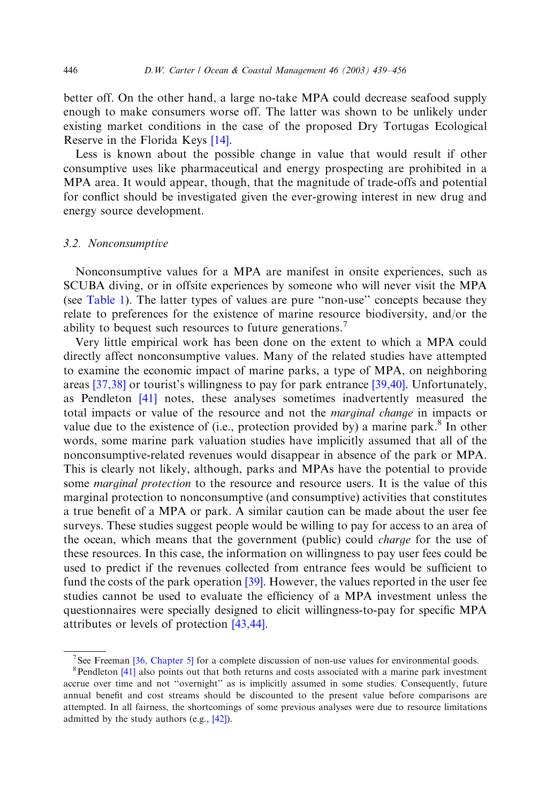better off. On the other hand, a large no-take MPA could decrease seafood supply enough to make consumers worse off. The latter was shown to be unlikely under existing market conditions in the case of the proposed Dry Tortugas Ecological Reserve in the Florida Keys [\[14\]](#page-15-0).

Less is known about the possible change in value that would result if other consumptive uses like pharmaceutical and energy prospecting are prohibited in a MPA area. It would appear, though, that the magnitude of trade-offs and potential for conflict should be investigated given the ever-growing interest in new drug and energy source development.

#### 3.2. Nonconsumptive

Nonconsumptive values for a MPA are manifest in onsite experiences, such as SCUBA diving, or in offsite experiences by someone who will never visit the MPA (see [Table 1](#page-2-0)). The latter types of values are pure ''non-use'' concepts because they relate to preferences for the existence of marine resource biodiversity, and/or the ability to bequest such resources to future generations.<sup>7</sup>

Very little empirical work has been done on the extent to which a MPA could directly affect nonconsumptive values. Many of the related studies have attempted to examine the economic impact of marine parks, a type of MPA, on neighboring areas [\[37,38\]](#page-16-0) or tourist's willingness to pay for parkentrance [\[39,40\]](#page-16-0). Unfortunately, as Pendleton [\[41\]](#page-16-0) notes, these analyses sometimes inadvertently measured the total impacts or value of the resource and not the marginal change in impacts or value due to the existence of (i.e., protection provided by) a marine park.<sup>8</sup> In other words, some marine park valuation studies have implicitly assumed that all of the nonconsumptive-related revenues would disappear in absence of the park or MPA. This is clearly not likely, although, parks and MPAs have the potential to provide some *marginal protection* to the resource and resource users. It is the value of this marginal protection to nonconsumptive (and consumptive) activities that constitutes a true benefit of a MPA or park. A similar caution can be made about the user fee surveys. These studies suggest people would be willing to pay for access to an area of the ocean, which means that the government (public) could charge for the use of these resources. In this case, the information on willingness to pay user fees could be used to predict if the revenues collected from entrance fees would be sufficient to fund the costs of the park operation [\[39\].](#page-16-0) However, the values reported in the user fee studies cannot be used to evaluate the efficiency of a MPA investment unless the questionnaires were specially designed to elicit willingness-to-pay for specific MPA attributes or levels of protection [\[43,44\]](#page-16-0).

<sup>&</sup>lt;sup>7</sup> See Freeman  $\frac{136}{130}$ . Chapter 51 for a complete discussion of non-use values for environmental goods.

 $\textsuperscript{8}$  Pendleton [\[41\]](#page-16-0) also points out that both returns and costs associated with a marine park investment accrue over time and not ''overnight'' as is implicitly assumed in some studies. Consequently, future annual benefit and cost streams should be discounted to the present value before comparisons are attempted. In all fairness, the shortcomings of some previous analyses were due to resource limitations admitted by the study authors (e.g., [\[42\]](#page-16-0)).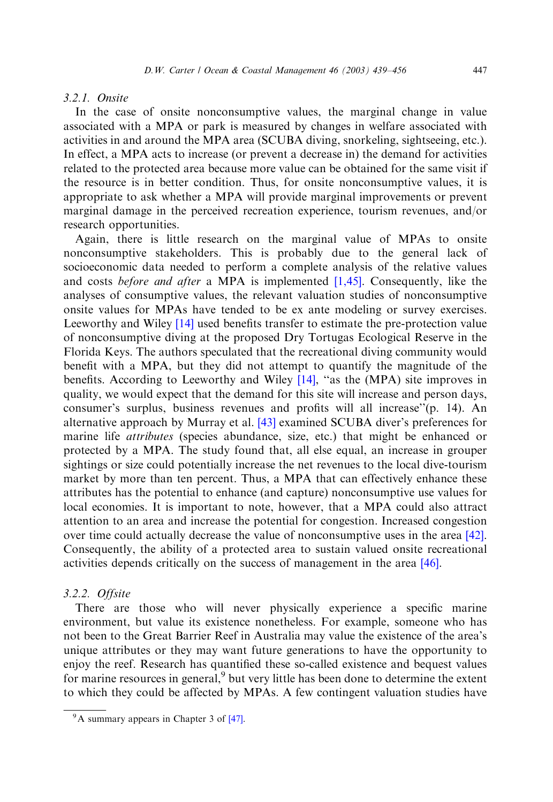# 3.2.1. Onsite

In the case of onsite nonconsumptive values, the marginal change in value associated with a MPA or parkis measured by changes in welfare associated with activities in and around the MPA area (SCUBA diving, snorkeling, sightseeing, etc.). In effect, a MPA acts to increase (or prevent a decrease in) the demand for activities related to the protected area because more value can be obtained for the same visit if the resource is in better condition. Thus, for onsite nonconsumptive values, it is appropriate to askwhether a MPA will provide marginal improvements or prevent marginal damage in the perceived recreation experience, tourism revenues, and/or research opportunities.

Again, there is little research on the marginal value of MPAs to onsite nonconsumptive stakeholders. This is probably due to the general lack of socioeconomic data needed to perform a complete analysis of the relative values and costs *before and after* a MPA is implemented  $[1,45]$ . Consequently, like the analyses of consumptive values, the relevant valuation studies of nonconsumptive onsite values for MPAs have tended to be ex ante modeling or survey exercises. Leeworthy and Wiley [\[14\]](#page-15-0) used benefits transfer to estimate the pre-protection value of nonconsumptive diving at the proposed Dry Tortugas Ecological Reserve in the Florida Keys. The authors speculated that the recreational diving community would benefit with a MPA, but they did not attempt to quantify the magnitude of the benefits. According to Leeworthy and Wiley [\[14\]](#page-15-0), ''as the (MPA) site improves in quality, we would expect that the demand for this site will increase and person days, consumer's surplus, business revenues and profits will all increase''(p. 14). An alternative approach by Murray et al. [\[43\]](#page-16-0) examined SCUBA diver's preferences for marine life *attributes* (species abundance, size, etc.) that might be enhanced or protected by a MPA. The study found that, all else equal, an increase in grouper sightings or size could potentially increase the net revenues to the local dive-tourism market by more than ten percent. Thus, a MPA that can effectively enhance these attributes has the potential to enhance (and capture) nonconsumptive use values for local economies. It is important to note, however, that a MPA could also attract attention to an area and increase the potential for congestion. Increased congestion over time could actually decrease the value of nonconsumptive uses in the area [\[42\].](#page-16-0) Consequently, the ability of a protected area to sustain valued onsite recreational activities depends critically on the success of management in the area [\[46\].](#page-16-0)

#### 3.2.2. Offsite

There are those who will never physically experience a specific marine environment, but value its existence nonetheless. For example, someone who has not been to the Great Barrier Reef in Australia may value the existence of the area's unique attributes or they may want future generations to have the opportunity to enjoy the reef. Research has quantified these so-called existence and bequest values for marine resources in general, $9$  but very little has been done to determine the extent to which they could be affected by MPAs. A few contingent valuation studies have

 $9^9$ A summary appears in Chapter 3 of  $[47]$ .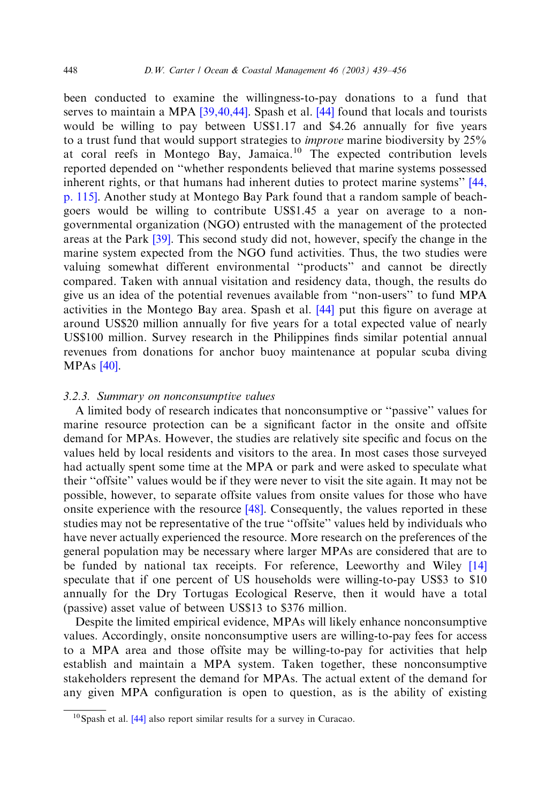been conducted to examine the willingness-to-pay donations to a fund that serves to maintain a MPA [\[39,40,44\].](#page-16-0) Spash et al. [\[44\]](#page-16-0) found that locals and tourists would be willing to pay between US\$1.17 and \$4.26 annually for five years to a trust fund that would support strategies to improve marine biodiversity by 25% at coral reefs in Montego Bay, Jamaica.<sup>10</sup> The expected contribution levels reported depended on ''whether respondents believed that marine systems possessed inherent rights, or that humans had inherent duties to protect marine systems'' [\[44,](#page-16-0) [p. 115\]](#page-16-0). Another study at Montego Bay Park found that a random sample of beachgoers would be willing to contribute US\$1.45 a year on average to a nongovernmental organization (NGO) entrusted with the management of the protected areas at the Park [\[39\].](#page-16-0) This second study did not, however, specify the change in the marine system expected from the NGO fund activities. Thus, the two studies were valuing somewhat different environmental ''products'' and cannot be directly compared. Taken with annual visitation and residency data, though, the results do give us an idea of the potential revenues available from ''non-users'' to fund MPA activities in the Montego Bay area. Spash et al. [\[44\]](#page-16-0) put this figure on average at around US\$20 million annually for five years for a total expected value of nearly US\$100 million. Survey research in the Philippines finds similar potential annual revenues from donations for anchor buoy maintenance at popular scuba diving MPAs [\[40\].](#page-16-0)

#### 3.2.3. Summary on nonconsumptive values

A limited body of research indicates that nonconsumptive or ''passive'' values for marine resource protection can be a significant factor in the onsite and offsite demand for MPAs. However, the studies are relatively site specific and focus on the values held by local residents and visitors to the area. In most cases those surveyed had actually spent some time at the MPA or parkand were asked to speculate what their ''offsite'' values would be if they were never to visit the site again. It may not be possible, however, to separate offsite values from onsite values for those who have onsite experience with the resource [\[48\]](#page-16-0). Consequently, the values reported in these studies may not be representative of the true ''offsite'' values held by individuals who have never actually experienced the resource. More research on the preferences of the general population may be necessary where larger MPAs are considered that are to be funded by national tax receipts. For reference, Leeworthy and Wiley [\[14\]](#page-15-0) speculate that if one percent of US households were willing-to-pay US\$3 to \$10 annually for the Dry Tortugas Ecological Reserve, then it would have a total (passive) asset value of between US\$13 to \$376 million.

Despite the limited empirical evidence, MPAs will likely enhance nonconsumptive values. Accordingly, onsite nonconsumptive users are willing-to-pay fees for access to a MPA area and those offsite may be willing-to-pay for activities that help establish and maintain a MPA system. Taken together, these nonconsumptive stakeholders represent the demand for MPAs. The actual extent of the demand for any given MPA configuration is open to question, as is the ability of existing

 $10$  Spash et al. [\[44\]](#page-16-0) also report similar results for a survey in Curacao.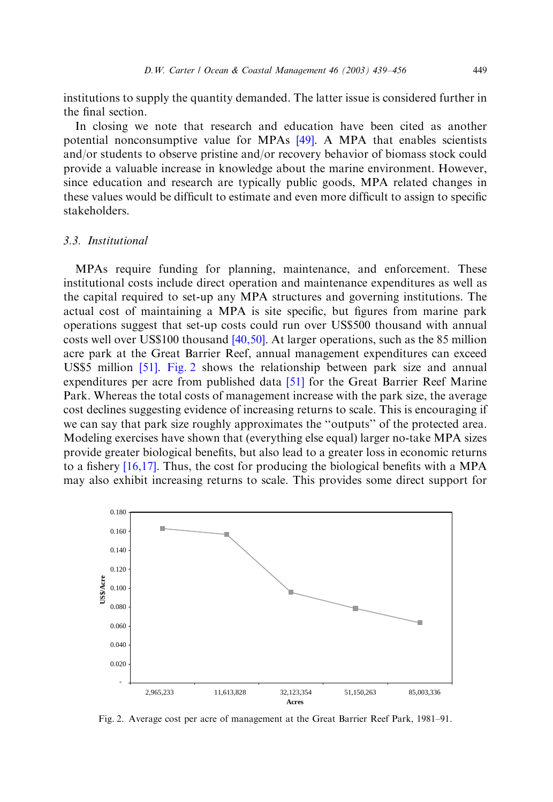institutions to supply the quantity demanded. The latter issue is considered further in the final section.

In closing we note that research and education have been cited as another potential nonconsumptive value for MPAs [\[49\]](#page-16-0). A MPA that enables scientists and/or students to observe pristine and/or recovery behavior of biomass stock could provide a valuable increase in knowledge about the marine environment. However, since education and research are typically public goods, MPA related changes in these values would be difficult to estimate and even more difficult to assign to specific stakeholders.

#### 3.3. Institutional

MPAs require funding for planning, maintenance, and enforcement. These institutional costs include direct operation and maintenance expenditures as well as the capital required to set-up any MPA structures and governing institutions. The actual cost of maintaining a MPA is site specific, but figures from marine park operations suggest that set-up costs could run over US\$500 thousand with annual costs well over US\$100 thousand [\[40,50\].](#page-16-0) At larger operations, such as the 85 million acre parkat the Great Barrier Reef, annual management expenditures can exceed US\$5 million [\[51\]](#page-16-0). Fig. 2 shows the relationship between park size and annual expenditures per acre from published data [\[51\]](#page-16-0) for the Great Barrier Reef Marine Park. Whereas the total costs of management increase with the park size, the average cost declines suggesting evidence of increasing returns to scale. This is encouraging if we can say that park size roughly approximates the "outputs" of the protected area. Modeling exercises have shown that (everything else equal) larger no-take MPA sizes provide greater biological benefits, but also lead to a greater loss in economic returns to a fishery [\[16,17\]](#page-15-0). Thus, the cost for producing the biological benefits with a MPA may also exhibit increasing returns to scale. This provides some direct support for



Fig. 2. Average cost per acre of management at the Great Barrier Reef Park, 1981–91.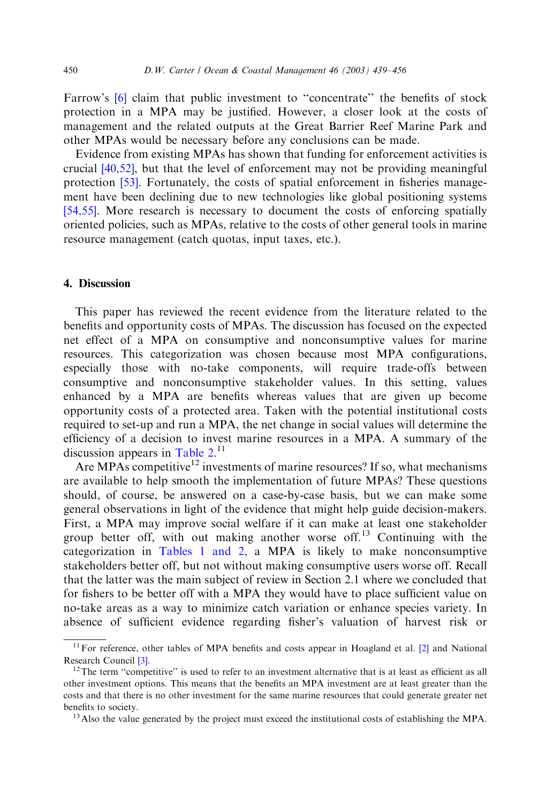Farrow's [\[6\]](#page-15-0) claim that public investment to ''concentrate'' the benefits of stock protection in a MPA may be justified. However, a closer lookat the costs of management and the related outputs at the Great Barrier Reef Marine Parkand other MPAs would be necessary before any conclusions can be made.

Evidence from existing MPAs has shown that funding for enforcement activities is crucial [\[40,52\],](#page-16-0) but that the level of enforcement may not be providing meaningful protection [\[53\]](#page-17-0). Fortunately, the costs of spatial enforcement in fisheries management have been declining due to new technologies like global positioning systems [\[54,55\].](#page-17-0) More research is necessary to document the costs of enforcing spatially oriented policies, such as MPAs, relative to the costs of other general tools in marine resource management (catch quotas, input taxes, etc.).

#### 4. Discussion

This paper has reviewed the recent evidence from the literature related to the benefits and opportunity costs of MPAs. The discussion has focused on the expected net effect of a MPA on consumptive and nonconsumptive values for marine resources. This categorization was chosen because most MPA configurations, especially those with no-take components, will require trade-offs between consumptive and nonconsumptive stakeholder values. In this setting, values enhanced by a MPA are benefits whereas values that are given up become opportunity costs of a protected area. Taken with the potential institutional costs required to set-up and run a MPA, the net change in social values will determine the efficiency of a decision to invest marine resources in a MPA. A summary of the discussion appears in Table  $2<sup>11</sup>$ 

Are MPAs competitive<sup>12</sup> investments of marine resources? If so, what mechanisms are available to help smooth the implementation of future MPAs? These questions should, of course, be answered on a case-by-case basis, but we can make some general observations in light of the evidence that might help guide decision-makers. First, a MPA may improve social welfare if it can make at least one stakeholder group better off, with out making another worse off.<sup>13</sup> Continuing with the categorization in [Tables 1 and 2,](#page-2-0) a MPA is likely to make nonconsumptive stakeholders better off, but not without making consumptive users worse off. Recall that the latter was the main subject of review in Section 2.1 where we concluded that for fishers to be better off with a MPA they would have to place sufficient value on no-take areas as a way to minimize catch variation or enhance species variety. In absence of sufficient evidence regarding fisher's valuation of harvest risk or

<sup>&</sup>lt;sup>11</sup> For reference, other tables of MPA benefits and costs appear in Hoagland et al. [\[2\]](#page-14-0) and National Research Council  $[3]$ .<br><sup>12</sup>The term "competitive" is used to refer to an investment alternative that is at least as efficient as all

other investment options. This means that the benefits an MPA investment are at least greater than the costs and that there is no other investment for the same marine resources that could generate greater net benefits to society.<br><sup>13</sup>Also the value generated by the project must exceed the institutional costs of establishing the MPA.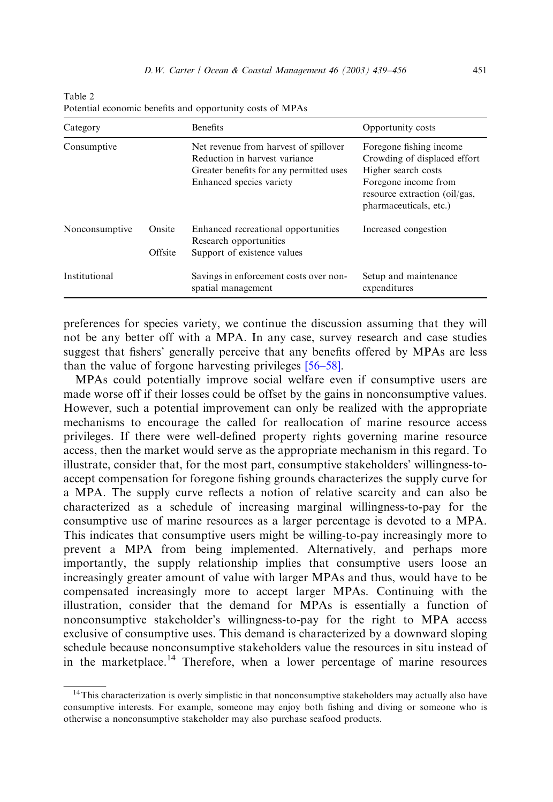| Category<br>Consumptive |                   | <b>Benefits</b>                                                                                                                               | Opportunity costs<br>Foregone fishing income<br>Crowding of displaced effort<br>Higher search costs<br>Foregone income from<br>resource extraction (oil/gas,<br>pharmaceuticals, etc.) |
|-------------------------|-------------------|-----------------------------------------------------------------------------------------------------------------------------------------------|----------------------------------------------------------------------------------------------------------------------------------------------------------------------------------------|
|                         |                   | Net revenue from harvest of spillover<br>Reduction in harvest variance<br>Greater benefits for any permitted uses<br>Enhanced species variety |                                                                                                                                                                                        |
| Nonconsumptive          | Onsite<br>Offsite | Enhanced recreational opportunities<br>Research opportunities<br>Support of existence values                                                  | Increased congestion                                                                                                                                                                   |
| Institutional           |                   | Savings in enforcement costs over non-<br>spatial management                                                                                  | Setup and maintenance<br>expenditures                                                                                                                                                  |

<span id="page-12-0"></span>Table 2 Potential economic benefits and opportunity costs of MPAs

preferences for species variety, we continue the discussion assuming that they will not be any better off with a MPA. In any case, survey research and case studies suggest that fishers' generally perceive that any benefits offered by MPAs are less than the value of forgone harvesting privileges [\[56–58\].](#page-17-0)

MPAs could potentially improve social welfare even if consumptive users are made worse off if their losses could be offset by the gains in nonconsumptive values. However, such a potential improvement can only be realized with the appropriate mechanisms to encourage the called for reallocation of marine resource access privileges. If there were well-defined property rights governing marine resource access, then the market would serve as the appropriate mechanism in this regard. To illustrate, consider that, for the most part, consumptive stakeholders' willingness-toaccept compensation for foregone fishing grounds characterizes the supply curve for a MPA. The supply curve reflects a notion of relative scarcity and can also be characterized as a schedule of increasing marginal willingness-to-pay for the consumptive use of marine resources as a larger percentage is devoted to a MPA. This indicates that consumptive users might be willing-to-pay increasingly more to prevent a MPA from being implemented. Alternatively, and perhaps more importantly, the supply relationship implies that consumptive users loose an increasingly greater amount of value with larger MPAs and thus, would have to be compensated increasingly more to accept larger MPAs. Continuing with the illustration, consider that the demand for MPAs is essentially a function of nonconsumptive stakeholder's willingness-to-pay for the right to MPA access exclusive of consumptive uses. This demand is characterized by a downward sloping schedule because nonconsumptive stakeholders value the resources in situ instead of in the marketplace.<sup>14</sup> Therefore, when a lower percentage of marine resources

<sup>&</sup>lt;sup>14</sup>This characterization is overly simplistic in that nonconsumptive stakeholders may actually also have consumptive interests. For example, someone may enjoy both fishing and diving or someone who is otherwise a nonconsumptive stakeholder may also purchase seafood products.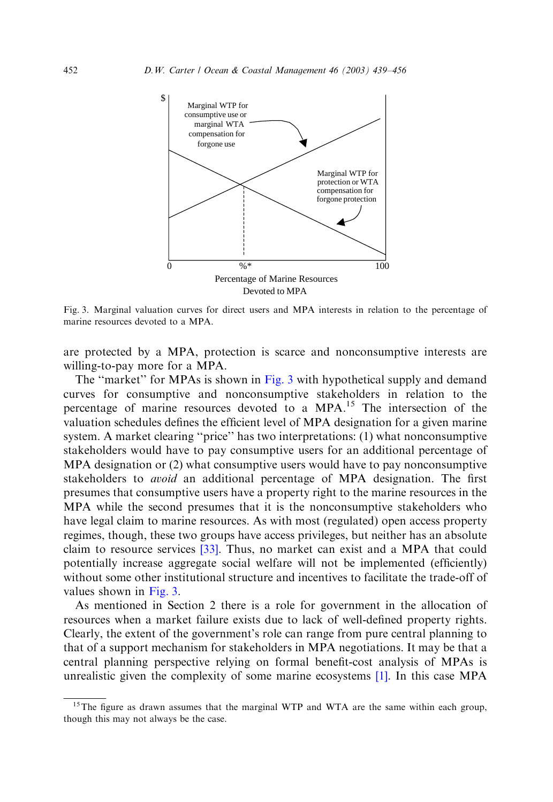

Fig. 3. Marginal valuation curves for direct users and MPA interests in relation to the percentage of marine resources devoted to a MPA.

are protected by a MPA, protection is scarce and nonconsumptive interests are willing-to-pay more for a MPA.

The "market" for MPAs is shown in Fig. 3 with hypothetical supply and demand curves for consumptive and nonconsumptive stakeholders in relation to the percentage of marine resources devoted to a MPA.15 The intersection of the valuation schedules defines the efficient level of MPA designation for a given marine system. A market clearing ''price'' has two interpretations: (1) what nonconsumptive stakeholders would have to pay consumptive users for an additional percentage of MPA designation or (2) what consumptive users would have to pay nonconsumptive stakeholders to avoid an additional percentage of MPA designation. The first presumes that consumptive users have a property right to the marine resources in the MPA while the second presumes that it is the nonconsumptive stakeholders who have legal claim to marine resources. As with most (regulated) open access property regimes, though, these two groups have access privileges, but neither has an absolute claim to resource services [\[33\].](#page-16-0) Thus, no market can exist and a MPA that could potentially increase aggregate social welfare will not be implemented (efficiently) without some other institutional structure and incentives to facilitate the trade-off of values shown in Fig. 3.

As mentioned in Section 2 there is a role for government in the allocation of resources when a market failure exists due to lack of well-defined property rights. Clearly, the extent of the government's role can range from pure central planning to that of a support mechanism for stakeholders in MPA negotiations. It may be that a central planning perspective relying on formal benefit-cost analysis of MPAs is unrealistic given the complexity of some marine ecosystems [\[1\]](#page-14-0). In this case MPA

<sup>&</sup>lt;sup>15</sup>The figure as drawn assumes that the marginal WTP and WTA are the same within each group, though this may not always be the case.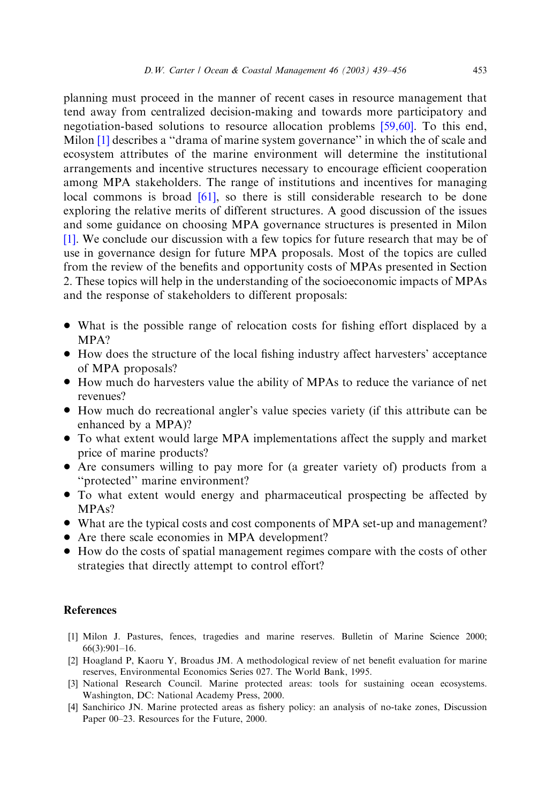<span id="page-14-0"></span>planning must proceed in the manner of recent cases in resource management that tend away from centralized decision-making and towards more participatory and negotiation-based solutions to resource allocation problems [\[59,60\]](#page-17-0). To this end, Milon [1] describes a ''drama of marine system governance'' in which the of scale and ecosystem attributes of the marine environment will determine the institutional arrangements and incentive structures necessary to encourage efficient cooperation among MPA stakeholders. The range of institutions and incentives for managing local commons is broad [\[61\]](#page-17-0), so there is still considerable research to be done exploring the relative merits of different structures. A good discussion of the issues and some guidance on choosing MPA governance structures is presented in Milon [1]. We conclude our discussion with a few topics for future research that may be of use in governance design for future MPA proposals. Most of the topics are culled from the review of the benefits and opportunity costs of MPAs presented in Section 2. These topics will help in the understanding of the socioeconomic impacts of MPAs and the response of stakeholders to different proposals:

- What is the possible range of relocation costs for fishing effort displaced by a MPA?
- How does the structure of the local fishing industry affect harvesters' acceptance of MPA proposals?
- \* How much do harvesters value the ability of MPAs to reduce the variance of net revenues?
- How much do recreational angler's value species variety (if this attribute can be enhanced by a MPA)?
- To what extent would large MPA implementations affect the supply and market price of marine products?
- Are consumers willing to pay more for (a greater variety of) products from a ''protected'' marine environment?
- To what extent would energy and pharmaceutical prospecting be affected by MPAs?
- What are the typical costs and cost components of MPA set-up and management?
- Are there scale economies in MPA development?
- How do the costs of spatial management regimes compare with the costs of other strategies that directly attempt to control effort?

## **References**

- [1] Milon J. Pastures, fences, tragedies and marine reserves. Bulletin of Marine Science 2000; 66(3):901–16.
- [2] Hoagland P, Kaoru Y, Broadus JM. A methodological review of net benefit evaluation for marine reserves, Environmental Economics Series 027. The World Bank, 1995.
- [3] National Research Council. Marine protected areas: tools for sustaining ocean ecosystems. Washington, DC: National Academy Press, 2000.
- [4] Sanchirico JN. Marine protected areas as fishery policy: an analysis of no-take zones, Discussion Paper 00–23. Resources for the Future, 2000.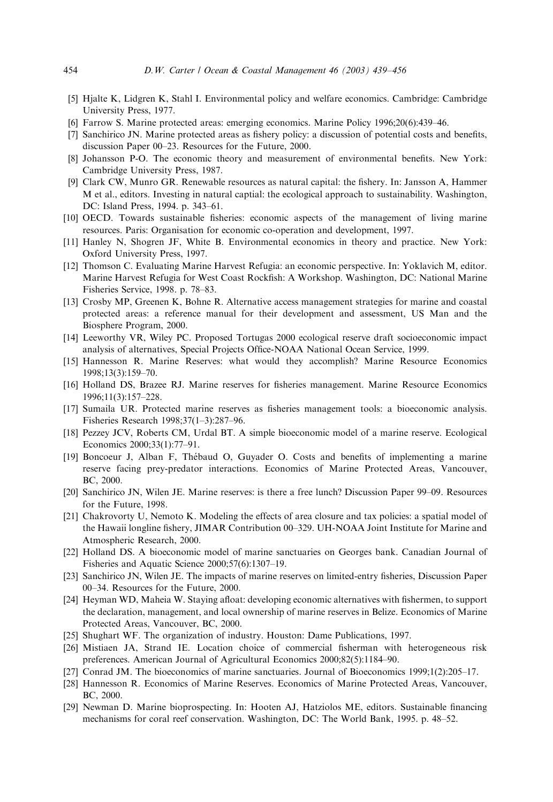- <span id="page-15-0"></span>[5] Hjalte K, Lidgren K, Stahl I. Environmental policy and welfare economics. Cambridge: Cambridge University Press, 1977.
- [6] Farrow S. Marine protected areas: emerging economics. Marine Policy 1996;20(6):439–46.
- [7] Sanchirico JN. Marine protected areas as fishery policy: a discussion of potential costs and benefits, discussion Paper 00–23. Resources for the Future, 2000.
- [8] Johansson P-O. The economic theory and measurement of environmental benefits. New York: Cambridge University Press, 1987.
- [9] ClarkCW, Munro GR. Renewable resources as natural capital: the fishery. In: Jansson A, Hammer M et al., editors. Investing in natural captial: the ecological approach to sustainability. Washington, DC: Island Press, 1994. p. 343–61.
- [10] OECD. Towards sustainable fisheries: economic aspects of the management of living marine resources. Paris: Organisation for economic co-operation and development, 1997.
- [11] Hanley N, Shogren JF, White B. Environmental economics in theory and practice. New York: Oxford University Press, 1997.
- [12] Thomson C. Evaluating Marine Harvest Refugia: an economic perspective. In: Yoklavich M, editor. Marine Harvest Refugia for West Coast Rockfish: A Workshop. Washington, DC: National Marine Fisheries Service, 1998. p. 78–83.
- [13] Crosby MP, Greenen K, Bohne R. Alternative access management strategies for marine and coastal protected areas: a reference manual for their development and assessment, US Man and the Biosphere Program, 2000.
- [14] Leeworthy VR, Wiley PC. Proposed Tortugas 2000 ecological reserve draft socioeconomic impact analysis of alternatives, Special Projects Office-NOAA National Ocean Service, 1999.
- [15] Hannesson R. Marine Reserves: what would they accomplish? Marine Resource Economics 1998;13(3):159–70.
- [16] Holland DS, Brazee RJ. Marine reserves for fisheries management. Marine Resource Economics 1996;11(3):157–228.
- [17] Sumaila UR. Protected marine reserves as fisheries management tools: a bioeconomic analysis. Fisheries Research 1998;37(1–3):287–96.
- [18] Pezzey JCV, Roberts CM, Urdal BT. A simple bioeconomic model of a marine reserve. Ecological Economics 2000;33(1):77–91.
- [19] Boncoeur J, Alban F, Thebaud O, Guyader O. Costs and benefits of implementing a marine ! reserve facing prey-predator interactions. Economics of Marine Protected Areas, Vancouver, BC, 2000.
- [20] Sanchirico JN, Wilen JE. Marine reserves: is there a free lunch? Discussion Paper 99–09. Resources for the Future, 1998.
- [21] Chakrovorty U, Nemoto K. Modeling the effects of area closure and tax policies: a spatial model of the Hawaii longline fishery, JIMAR Contribution 00–329. UH-NOAA Joint Institute for Marine and Atmospheric Research, 2000.
- [22] Holland DS. A bioeconomic model of marine sanctuaries on Georges bank. Canadian Journal of Fisheries and Aquatic Science 2000;57(6):1307–19.
- [23] Sanchirico JN, Wilen JE. The impacts of marine reserves on limited-entry fisheries, Discussion Paper 00–34. Resources for the Future, 2000.
- [24] Heyman WD, Maheia W. Staying afloat: developing economic alternatives with fishermen, to support the declaration, management, and local ownership of marine reserves in Belize. Economics of Marine Protected Areas, Vancouver, BC, 2000.
- [25] Shughart WF. The organization of industry. Houston: Dame Publications, 1997.
- [26] Mistiaen JA, Strand IE. Location choice of commercial fisherman with heterogeneous risk preferences. American Journal of Agricultural Economics 2000;82(5):1184–90.
- [27] Conrad JM. The bioeconomics of marine sanctuaries. Journal of Bioeconomics 1999;1(2):205–17.
- [28] Hannesson R. Economics of Marine Reserves. Economics of Marine Protected Areas, Vancouver, BC, 2000.
- [29] Newman D. Marine bioprospecting. In: Hooten AJ, Hatziolos ME, editors. Sustainable financing mechanisms for coral reef conservation. Washington, DC: The World Bank, 1995. p. 48–52.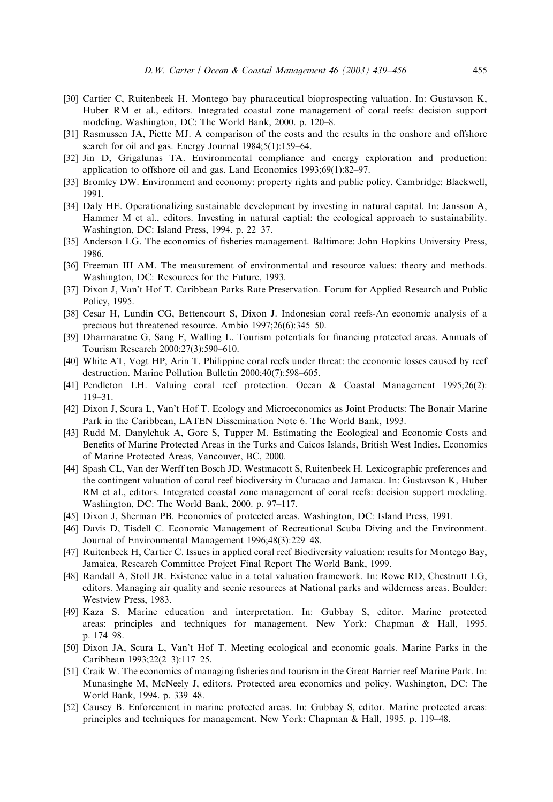- <span id="page-16-0"></span>[30] Cartier C, Ruitenbeek H. Montego bay pharaceutical bioprospecting valuation. In: Gustavson K, Huber RM et al., editors. Integrated coastal zone management of coral reefs: decision support modeling. Washington, DC: The World Bank, 2000. p. 120–8.
- [31] Rasmussen JA, Piette MJ. A comparison of the costs and the results in the onshore and offshore search for oil and gas. Energy Journal 1984;5(1):159–64.
- [32] Jin D, Grigalunas TA. Environmental compliance and energy exploration and production: application to offshore oil and gas. Land Economics 1993;69(1):82–97.
- [33] Bromley DW. Environment and economy: property rights and public policy. Cambridge: Blackwell, 1991.
- [34] Daly HE. Operationalizing sustainable development by investing in natural capital. In: Jansson A, Hammer M et al., editors. Investing in natural captial: the ecological approach to sustainability. Washington, DC: Island Press, 1994. p. 22–37.
- [35] Anderson LG. The economics of fisheries management. Baltimore: John Hopkins University Press, 1986.
- [36] Freeman III AM. The measurement of environmental and resource values: theory and methods. Washington, DC: Resources for the Future, 1993.
- [37] Dixon J, Van't Hof T. Caribbean Parks Rate Preservation. Forum for Applied Research and Public Policy, 1995.
- [38] Cesar H, Lundin CG, Bettencourt S, Dixon J. Indonesian coral reefs-An economic analysis of a precious but threatened resource. Ambio 1997;26(6):345–50.
- [39] Dharmaratne G, Sang F, Walling L. Tourism potentials for financing protected areas. Annuals of Tourism Research 2000;27(3):590–610.
- [40] White AT, Vogt HP, Arin T. Philippine coral reefs under threat: the economic losses caused by reef destruction. Marine Pollution Bulletin 2000;40(7):598–605.
- [41] Pendleton LH. Valuing coral reef protection. Ocean & Coastal Management 1995;26(2): 119–31.
- [42] Dixon J, Scura L, Van't Hof T. Ecology and Microeconomics as Joint Products: The Bonair Marine Park in the Caribbean, LATEN Dissemination Note 6. The World Bank, 1993.
- [43] Rudd M, DanylchukA, Gore S, Tupper M. Estimating the Ecological and Economic Costs and Benefits of Marine Protected Areas in the Turks and Caicos Islands, British West Indies. Economics of Marine Protected Areas, Vancouver, BC, 2000.
- [44] Spash CL, Van der Werff ten Bosch JD, Westmacott S, Ruitenbeek H. Lexicographic preferences and the contingent valuation of coral reef biodiversity in Curacao and Jamaica. In: Gustavson K, Huber RM et al., editors. Integrated coastal zone management of coral reefs: decision support modeling. Washington, DC: The World Bank, 2000. p. 97–117.
- [45] Dixon J, Sherman PB. Economics of protected areas. Washington, DC: Island Press, 1991.
- [46] Davis D, Tisdell C. Economic Management of Recreational Scuba Diving and the Environment. Journal of Environmental Management 1996;48(3):229–48.
- [47] RuitenbeekH, Cartier C. Issues in applied coral reef Biodiversity valuation: results for Montego Bay, Jamaica, Research Committee Project Final Report The World Bank, 1999.
- [48] Randall A, Stoll JR. Existence value in a total valuation framework. In: Rowe RD, Chestnutt LG, editors. Managing air quality and scenic resources at National parks and wilderness areas. Boulder: Westview Press, 1983.
- [49] Kaza S. Marine education and interpretation. In: Gubbay S, editor. Marine protected areas: principles and techniques for management. New York: Chapman & Hall, 1995. p. 174–98.
- [50] Dixon JA, Scura L, Van't Hof T. Meeting ecological and economic goals. Marine Parks in the Caribbean 1993;22(2–3):117–25.
- [51] CraikW. The economics of managing fisheries and tourism in the Great Barrier reef Marine Park. In: Munasinghe M, McNeely J, editors. Protected area economics and policy. Washington, DC: The World Bank, 1994. p. 339–48.
- [52] Causey B. Enforcement in marine protected areas. In: Gubbay S, editor. Marine protected areas: principles and techniques for management. New York: Chapman & Hall, 1995. p. 119–48.